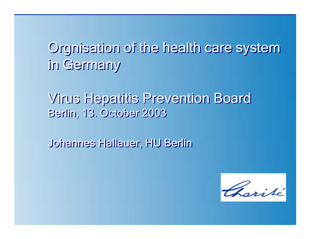# Orgnisation of the health care system Orgnisation of the health care system in Germany in Germany

Virus Hepatitis Prevention Board Virus Hepatitis Prevention Board Berlin, 13. October 2003 Berlin, 13. October 2003

Johannes Hallauer, HU Berlin Johannes Hallauer, HU Berlin

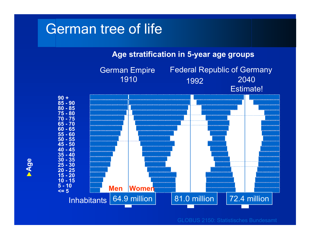## German tree of life

**Age stratification in 5-year age groups**



GLOBUS 2150: Statistisches Bundesamt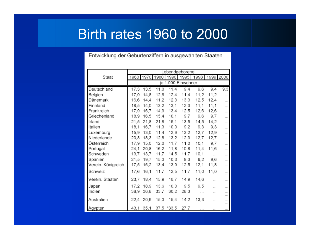# Birth rates 1960 to 2000

Entwicklung der Geburtenziffern in ausgewählten Staaten

|                    | Lebendgeborene     |      |                |            |      |                          |          |                      |
|--------------------|--------------------|------|----------------|------------|------|--------------------------|----------|----------------------|
| Staat              |                    |      | 1960 1970 1980 |            |      | 1990 1995 1998 1999 2000 |          |                      |
|                    | je 1.000 Einwohner |      |                |            |      |                          |          |                      |
| Deutschland        | 17,3               | 13,5 | 11,0           | 11,4       | 9,4  | 9,6                      | 9,4      | 9,3                  |
| Belgien            | 17,0               | 14,8 | 12,6           | 12,4       | 11,4 | 11,2                     | 11,2     | .                    |
| Dänemark           | 16,6               | 14,4 | 11,2           | 12,3       | 13,3 | 12,5                     | 12,4     | .                    |
| Finnland           | 18,5               | 14,0 | 13,2           | 13,1       | 12,3 | 11,1                     | 11,1     | .                    |
| Frankreich         | 17,9               | 16,7 | 14,9           | 13,4       | 12,5 | 12,6                     | 12,6     |                      |
| Griechenland       | 18,9               | 16,5 | 15,4           | 10,1       | 9,7  | 9,6                      | 9,7      | $\cdots$             |
| Irland             | 21,5               | 21,8 | 21,8           | 15,1       | 13,5 | 14,5                     | 14,2     | $\cdots$             |
| Italien            | 18,1               | 16,7 | 11,3           | 10,0       | 9,2  | 9,3                      | 9,3      | .                    |
| Luxemburg          | 15,9               | 13,0 | 11.4           | 12,9       | 13,2 | 12,7                     | 12,9     | $\cdots$             |
| Niederlande        | 20,8               | 18,3 | 12,8           | 13,2       | 12,3 | 12,7                     | 12,7     | $\cdots$             |
| Österreich         | 17,9               | 15,0 | 12,0           | 11,7       | 11,0 | 10,1                     | 9,7      |                      |
| Portugal           | 24,1               | 20,8 | 16,2           | 11,8       | 10,8 | 11,4                     | 11,6     | $\cdots$             |
| Schweden           | 13,7               | 13,7 | 11,7           | 14,5       | 11,7 | 10,1                     | $\cdots$ | $\sim$               |
| Spanien            | 21,5               | 19,7 | 15,3           | 10,3       | 9,3  | 9,2                      | 9,6      |                      |
| Verein. Königreich | 17,5               | 16,2 | 13,4           | 13,9       | 12,5 | 12,1                     | 11,8     | $\cdots$             |
| Schweiz            | 17,6               | 16,1 | 11,7           | 12,5       | 11,7 | 11,0                     | 11,0     | $\dddot{\mathbb{I}}$ |
| Verein. Staaten    | 23,7               | 18,4 | 15,9           | 16,7       | 14,9 | 14,6                     | .        | $\sim$               |
| Japan              | 17,2               | 18,9 | 13,6           | 10,0       | 9,5  | 9,5                      | .        | $\cdots$             |
| Indien             | 38,9               | 36,8 | 33,7           | 30,2       | 28,3 | $\cdots$                 | .        | .                    |
| Australien         | 22,4               | 20,6 | 15,3           | 15,4       | 14,2 | 13,3                     | .        |                      |
| Agypten            | 43,1               | 35,1 |                | 37,5 *33,5 | 27,7 | .                        | .        | $\cdots$             |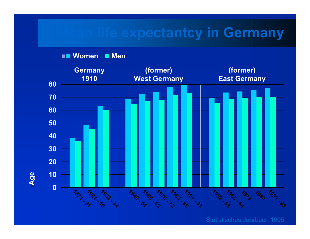## **Mean life expectantcy in Germany**

**Women Men**

•**Age**



Statistisches Jahrbuch 1995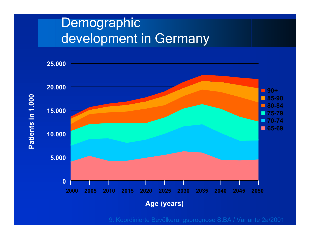# Demographic development in Germany

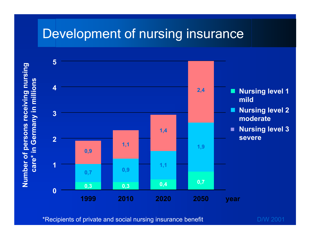## Development of nursing insurance

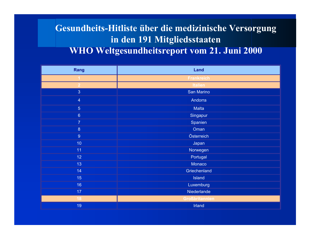### **Gesundheits-Hitliste über die medizinische Versorgung in den 191 Mitgliedsstaaten WHO Weltgesundheitsreport vom 21. Juni 2000**

| Rang            | Land                  |  |  |  |  |  |
|-----------------|-----------------------|--|--|--|--|--|
|                 | <b>Frankreich</b>     |  |  |  |  |  |
| $\overline{2}$  | <b>Italien</b>        |  |  |  |  |  |
| 3 <sup>°</sup>  | San Marino            |  |  |  |  |  |
| $\overline{4}$  | Andorra               |  |  |  |  |  |
| 5 <sup>1</sup>  | <b>Malta</b>          |  |  |  |  |  |
| $6\phantom{a}$  | Singapur              |  |  |  |  |  |
| $\overline{7}$  | Spanien               |  |  |  |  |  |
| 8               | Oman                  |  |  |  |  |  |
| 9 <sup>°</sup>  | Österreich            |  |  |  |  |  |
| 10 <sub>1</sub> | Japan                 |  |  |  |  |  |
| 11              | Norwegen              |  |  |  |  |  |
| 12 <sub>2</sub> | Portugal              |  |  |  |  |  |
| 13              | Monaco                |  |  |  |  |  |
| 14              | Griechenland          |  |  |  |  |  |
| 15              | Island                |  |  |  |  |  |
| 16              | Luxemburg             |  |  |  |  |  |
| 17              | Niederlande           |  |  |  |  |  |
| 18              | <b>Großbritannien</b> |  |  |  |  |  |
| 19              | <b>Irland</b>         |  |  |  |  |  |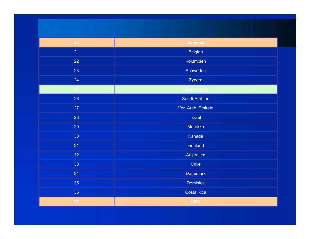| 20 | <b>Schweiz</b>     |  |  |  |  |
|----|--------------------|--|--|--|--|
| 21 | Belgien            |  |  |  |  |
| 22 | Kolumbien          |  |  |  |  |
| 23 | Schweden           |  |  |  |  |
| 24 | Zypern             |  |  |  |  |
| 25 | <b>Deutschland</b> |  |  |  |  |
| 26 | Saudi-Arabien      |  |  |  |  |
| 27 | Ver. Arab. Emirate |  |  |  |  |
| 28 | <b>Israel</b>      |  |  |  |  |
| 29 | Marokko            |  |  |  |  |
| 30 | Kanada             |  |  |  |  |
| 31 | Finnland           |  |  |  |  |
| 32 | Australien         |  |  |  |  |
| 33 | Chile              |  |  |  |  |
| 34 | <b>Dänemark</b>    |  |  |  |  |
| 35 | Dominica           |  |  |  |  |
| 36 | <b>Costa Rica</b>  |  |  |  |  |
| 37 | <b>USA</b>         |  |  |  |  |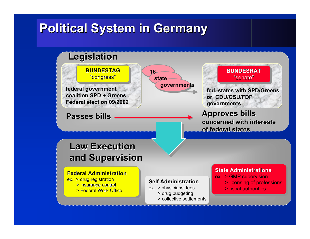## **Political System in Germany Political System in Germany**

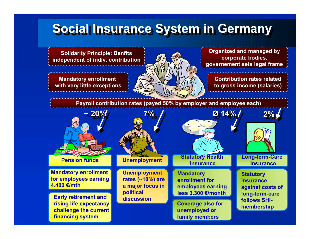# **Social Insurance System in Germany Social Insurance System in Germany**

**Solidarity Principle: Benfits independent of indiv. contribution**

**Mandatory enrollment with very little exceptions**



**Organized and managed by corporate bodies, governement sets legal frame**

**Contribution rates relatedto gross income (salaries)** 

**Payroll contribution rates (payed 50% by employer and employee each)** 

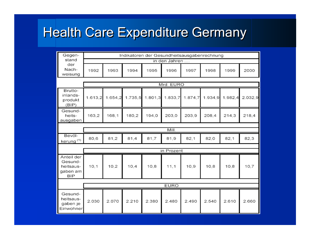# Health Care Expenditure Germany

| Gegen-                                                       | Indikatoren der Gesundheitsausgabenrechnung |         |         |         |            |         |         |         |         |
|--------------------------------------------------------------|---------------------------------------------|---------|---------|---------|------------|---------|---------|---------|---------|
| stand                                                        | in den Jahren                               |         |         |         |            |         |         |         |         |
| der<br>Nach-<br>weisung                                      | 1992                                        | 1993    | 1994    | 1995    | 1996       | 1997    | 1998    | 1999    | 2000    |
|                                                              | Mrd. EURO                                   |         |         |         |            |         |         |         |         |
| Brutto-<br>inlands-<br>produkt<br>(BIP)                      | 1.613,2                                     | 1.654,2 | 1.735,5 | 1.801,3 | 1.833,7    | 1.874,7 | 1.934,9 | 1.982.4 | 2.032,9 |
| Gesund-<br>heits-<br>ausgaben                                | 163,2                                       | 168,1   | 180,2   | 194,0   | 203,0      | 203,9   | 208,4   | 214,3   | 218.4   |
|                                                              |                                             |         |         |         |            |         |         |         |         |
|                                                              | Mill.                                       |         |         |         |            |         |         |         |         |
| Bevöl-<br>kerung <sup>(1)</sup>                              | 80,6                                        | 81,2    | 81,4    | 81,7    | 81,9       | 82,1    | 82,0    | 82,1    | 82,3    |
|                                                              |                                             |         |         |         |            |         |         |         |         |
|                                                              |                                             |         |         |         | in Prozent |         |         |         |         |
| Anteil der<br>Gesund-<br>heitsaus-<br>gaben am<br><b>BIP</b> | 10,1                                        | 10.2    | 10.4    | 10.8    | 11,1       | 10.9    | 10.8    | 10.8    | 10,7    |
|                                                              |                                             |         |         |         |            |         |         |         |         |
|                                                              | <b>EURO</b>                                 |         |         |         |            |         |         |         |         |
| Gesund-<br>heitsaus-<br>gaben je<br>Einwohner                | 2.030                                       | 2.070   | 2.210   | 2.380   | 2.480      | 2.490   | 2.540   | 2.610   | 2.660   |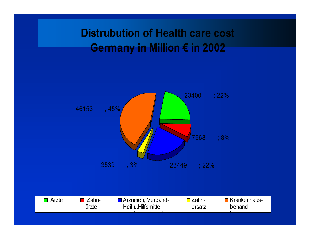### **Distrubution of Health care cost Germany in Million € in 2002**

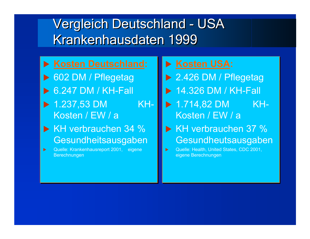# Vergleich Deutschland - USA Vergleich Deutschland - USA Krankenhausdaten 1999

- **▶ Kosten Deutschland:**
- ▶ 602 DM / Pflegetag
- $\triangleright$  6.247 DM / KH-Fall
- $\blacktriangleright$  1.237,53 DM KH-Kosten / EW / a
- ▶ KH verbrauchen 34 % Gesundheitsausgaben Gesundheitsausgaben
- $\blacktriangleright$  Quelle: Krankenhausreport 2001, eigene Quelle: Krankenhausreport 2001, eigene Berechnungen Berechnungen  $\blacktriangleright$
- X **Kosten USA:** X **Kosten USA:**
- ▶ 2.426 DM / Pflegetag
- $\triangleright$  14.326 DM / KH-Fall
- $\blacktriangleright$  1.714,82 DM KH-Kosten / EW / a
- ▶ KH verbrauchen 37 % Gesundheutsausgaben Gesundheutsausgaben
- $\blacktriangleright$  Quelle: Health, United States, CDC 2001, Quelle: Health, United States, CDC 2001, eigene Berechnungen eigene Berechnungen $\blacktriangleright$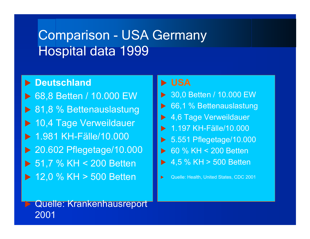# Comparison - USA Germany Hospital data 1999

#### **E** Deutschland

▶ 68,8 Betten / 10.000 EW ▶ 81,8 % Bettenauslastung ▶ 10,4 Tage Verweildauer **1.981 KH-Fälle/10.000**  $\blacktriangleright$  20.602 Pflegetage/10.000  $\triangleright$  51,7 % KH < 200 Betten  $\triangleright$  12,0 % KH > 500 Betten

#### X **USA**

- ▶ 30,0 Betten / 10.000 EW  $\triangleright$  66,1 % Bettenauslastung **1,6 Tage Verweildauer** 1.197 KH-Fälle/10.000  $\triangleright$  5.551 Pflegetage/10.000 ▶ 60 % KH < 200 Betten
	- $\blacktriangleright$  4,5 % KH > 500 Betten

 $\blacktriangleright$ Quelle: Health, United States, CDC 2001

### Quelle: Krankenhausreport 2001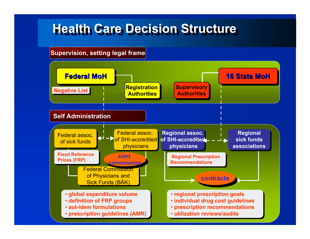# **Health Care Decision Structure Health Care Decision Structure**